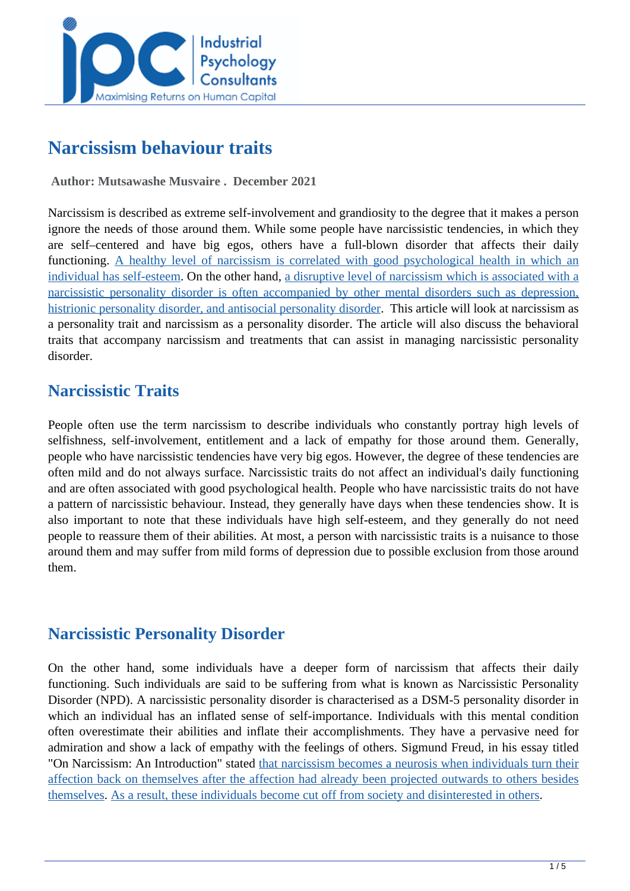

# **Narcissism behaviour traits**

 **Author: Mutsawashe Musvaire . December 2021** 

Narcissism is described as extreme self-involvement and grandiosity to the degree that it makes a person ignore the needs of those around them. While some people have narcissistic tendencies, in which they are self–centered and have big egos, others have a full-blown disorder that affects their daily functioning. [A healthy level of narcissism is correlated with good psychological health in which an](https://en.wikipedia.org/wiki/Narcissism) [individual has self-esteem.](https://en.wikipedia.org/wiki/Narcissism) On the other hand, [a disruptive level of narcissism which is associated with a](https://en.wikipedia.org/wiki/Narcissism) [narcissistic personality disorder is often accompanied by other mental disorders such as depression,](https://en.wikipedia.org/wiki/Narcissism) [histrionic personality disorder, and antisocial personality disorder.](https://en.wikipedia.org/wiki/Narcissism) This article will look at narcissism as a personality trait and narcissism as a personality disorder. The article will also discuss the behavioral traits that accompany narcissism and treatments that can assist in managing narcissistic personality disorder.

## **Narcissistic Traits**

People often use the term narcissism to describe individuals who constantly portray high levels of selfishness, self-involvement, entitlement and a lack of empathy for those around them. Generally, people who have narcissistic tendencies have very big egos. However, the degree of these tendencies are often mild and do not always surface. Narcissistic traits do not affect an individual's daily functioning and are often associated with good psychological health. People who have narcissistic traits do not have a pattern of narcissistic behaviour. Instead, they generally have days when these tendencies show. It is also important to note that these individuals have high self-esteem, and they generally do not need people to reassure them of their abilities. At most, a person with narcissistic traits is a nuisance to those around them and may suffer from mild forms of depression due to possible exclusion from those around them.

### **Narcissistic Personality Disorder**

On the other hand, some individuals have a deeper form of narcissism that affects their daily functioning. Such individuals are said to be suffering from what is known as Narcissistic Personality Disorder (NPD). A narcissistic personality disorder is characterised as a DSM-5 personality disorder in which an individual has an inflated sense of self-importance. Individuals with this mental condition often overestimate their abilities and inflate their accomplishments. They have a pervasive need for admiration and show a lack of empathy with the feelings of others. Sigmund Freud, in his essay titled "On Narcissism: An Introduction" stated [that narcissism becomes a neurosis when individuals turn their](https://en.wikipedia.org/wiki/Narcissism) [affection back on themselves after the affection had already been projected outwards to others besides](https://en.wikipedia.org/wiki/Narcissism) [themselves.](https://en.wikipedia.org/wiki/Narcissism) [As a result, these individuals become cut off from society and disinterested in others.](https://en.wikipedia.org/wiki/On_Narcissism)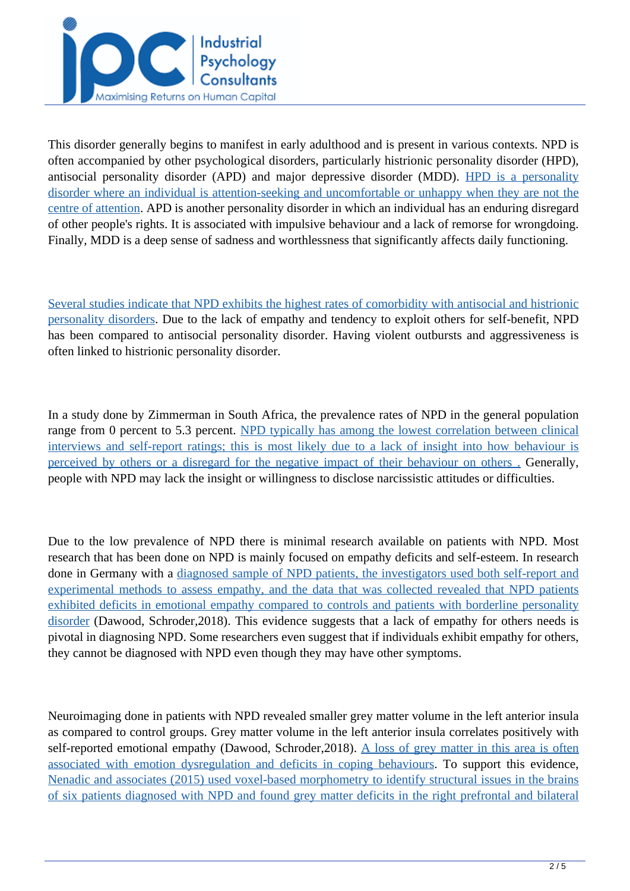

This disorder generally begins to manifest in early adulthood and is present in various contexts. NPD is often accompanied by other psychological disorders, particularly histrionic personality disorder (HPD), antisocial personality disorder (APD) and major depressive disorder (MDD). [HPD is a personality](http://www.wiley-psychopathology.com/ch12) [disorder where an individual is attention-seeking and uncomfortable or unhappy when they are not the](http://www.wiley-psychopathology.com/ch12) [centre of attention](http://www.wiley-psychopathology.com/ch12). APD is another personality disorder in which an individual has an enduring disregard of other people's rights. It is associated with impulsive behaviour and a lack of remorse for wrongdoing. Finally, MDD is a deep sense of sadness and worthlessness that significantly affects daily functioning.

[Several studies indicate that NPD exhibits the highest rates of comorbidity with antisocial and histrionic](https://www-cambridge-org.ezproxy.uct.ac.za/core/services/aop-cambridge-core/content/view/EF0559985A8948E0D72BA893145BC554/9781108424349c12_277-291.pdf/narcissistic_and_histrionic_personality_disorders.pdf) [personality disorders.](https://www-cambridge-org.ezproxy.uct.ac.za/core/services/aop-cambridge-core/content/view/EF0559985A8948E0D72BA893145BC554/9781108424349c12_277-291.pdf/narcissistic_and_histrionic_personality_disorders.pdf) Due to the lack of empathy and tendency to exploit others for self-benefit, NPD has been compared to antisocial personality disorder. Having violent outbursts and aggressiveness is often linked to histrionic personality disorder.

In a study done by Zimmerman in South Africa, the prevalence rates of NPD in the general population range from 0 percent to 5.3 percent. [NPD typically has among the lowest correlation between clinical](http://www.wiley-psychopathology.com/ch12) [interviews and self-report ratings; this is most likely due to a lack of insight into how behaviour is](http://www.wiley-psychopathology.com/ch12) [perceived by others or a disregard for the negative impact of their behaviour on others . Gene](http://www.wiley-psychopathology.com/ch12)rally, people with NPD may lack the insight or willingness to disclose narcissistic attitudes or difficulties.

Due to the low prevalence of NPD there is minimal research available on patients with NPD. Most research that has been done on NPD is mainly focused on empathy deficits and self-esteem. In research done in Germany with a [diagnosed sample of NPD patients, the investigators used both self-report and](https://www-cambridge-org.ezproxy.uct.ac.za/core/services/aop-cambridge-core/content/view/EF0559985A8948E0D72BA893145BC554/9781108424349c12_277-291.pdf/narcissistic_and_histrionic_personality_disorders.pdf) [experimental methods to assess empathy, and the data that was collected revealed that NPD patients](https://www-cambridge-org.ezproxy.uct.ac.za/core/services/aop-cambridge-core/content/view/EF0559985A8948E0D72BA893145BC554/9781108424349c12_277-291.pdf/narcissistic_and_histrionic_personality_disorders.pdf) [exhibited deficits in emotional empathy compared to controls and patients with borderline personality](https://www-cambridge-org.ezproxy.uct.ac.za/core/services/aop-cambridge-core/content/view/EF0559985A8948E0D72BA893145BC554/9781108424349c12_277-291.pdf/narcissistic_and_histrionic_personality_disorders.pdf) [disorder](https://www-cambridge-org.ezproxy.uct.ac.za/core/services/aop-cambridge-core/content/view/EF0559985A8948E0D72BA893145BC554/9781108424349c12_277-291.pdf/narcissistic_and_histrionic_personality_disorders.pdf) (Dawood, Schroder,2018). This evidence suggests that a lack of empathy for others needs is pivotal in diagnosing NPD. Some researchers even suggest that if individuals exhibit empathy for others, they cannot be diagnosed with NPD even though they may have other symptoms.

Neuroimaging done in patients with NPD revealed smaller grey matter volume in the left anterior insula as compared to control groups. Grey matter volume in the left anterior insula correlates positively with self-reported emotional empathy (Dawood, Schroder, 2018). [A loss of grey matter in this area is often](https://www.cambridge.org/core/books/abs/cambridge-handbook-of-personality-disorders/narcissistic-and-histrionic-personality-disorders/EF0559985A8948E0D72BA893145BC554) [associated with emotion dysregulation and deficits in coping behaviours. To](https://www.cambridge.org/core/books/abs/cambridge-handbook-of-personality-disorders/narcissistic-and-histrionic-personality-disorders/EF0559985A8948E0D72BA893145BC554) support this evidence, [Nenadic and associates \(2015\) used voxel-based morphometry to identify structural issues in the brains](https://www-cambridge-org.ezproxy.uct.ac.za/core/services/aop-cambridge-core/content/view/EF0559985A8948E0D72BA893145BC554/9781108424349c12_277-291.pdf/narcissistic_and_histrionic_personality_disorders.pdf) [of six patients diagnosed with NPD and found grey matter deficits in the right prefrontal and bilateral](https://www-cambridge-org.ezproxy.uct.ac.za/core/services/aop-cambridge-core/content/view/EF0559985A8948E0D72BA893145BC554/9781108424349c12_277-291.pdf/narcissistic_and_histrionic_personality_disorders.pdf)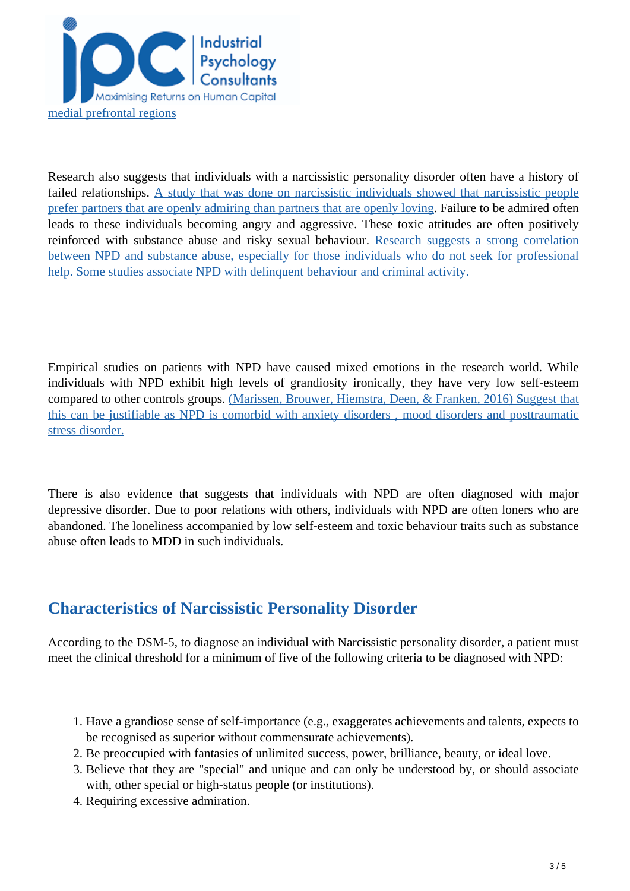

Research also suggests that individuals with a narcissistic personality disorder often have a history of failed relationships. [A study that was done on narcissistic individuals showed that narcissistic people](http://www.wiley-psychopathology.com/ch12) [prefer partners that are openly admiring than partners that are openly loving.](http://www.wiley-psychopathology.com/ch12) Failure to be admired often leads to these individuals becoming angry and aggressive. These toxic attitudes are often positively reinforced with substance abuse and risky sexual behaviour. [Research suggests a strong correlation](http://www.wiley-psychopathology.com/ch12) [between NPD and substance abuse, especially for those individuals who do not seek for professional](http://www.wiley-psychopathology.com/ch12) [help. Some studies associate NPD with delinquent behaviour and criminal activity.](http://www.wiley-psychopathology.com/ch12)

Empirical studies on patients with NPD have caused mixed emotions in the research world. While individuals with NPD exhibit high levels of grandiosity ironically, they have very low self-esteem compared to other controls groups. [\(Marissen, Brouwer, Hiemstra, Deen, & Franken, 2016\) Suggest that](https://www-cambridge-org.ezproxy.uct.ac.za/core/services/aop-cambridge-core/content/view/EF0559985A8948E0D72BA893145BC554/9781108424349c12_277-291.pdf/narcissistic_and_histrionic_personality_disorders.pdf) [this can be justifiable as NPD is comorbid with anxiety disorders , mood disorders and posttraumatic](https://www-cambridge-org.ezproxy.uct.ac.za/core/services/aop-cambridge-core/content/view/EF0559985A8948E0D72BA893145BC554/9781108424349c12_277-291.pdf/narcissistic_and_histrionic_personality_disorders.pdf) [stress disorder.](https://www-cambridge-org.ezproxy.uct.ac.za/core/services/aop-cambridge-core/content/view/EF0559985A8948E0D72BA893145BC554/9781108424349c12_277-291.pdf/narcissistic_and_histrionic_personality_disorders.pdf)

There is also evidence that suggests that individuals with NPD are often diagnosed with major depressive disorder. Due to poor relations with others, individuals with NPD are often loners who are abandoned. The loneliness accompanied by low self-esteem and toxic behaviour traits such as substance abuse often leads to MDD in such individuals.

### **Characteristics of Narcissistic Personality Disorder**

According to the DSM-5, to diagnose an individual with Narcissistic personality disorder, a patient must meet the clinical threshold for a minimum of five of the following criteria to be diagnosed with NPD:

- 1. Have a grandiose sense of self-importance (e.g., exaggerates achievements and talents, expects to be recognised as superior without commensurate achievements).
- 2. Be preoccupied with fantasies of unlimited success, power, brilliance, beauty, or ideal love.
- 3. Believe that they are "special" and unique and can only be understood by, or should associate with, other special or high-status people (or institutions).
- 4. Requiring excessive admiration.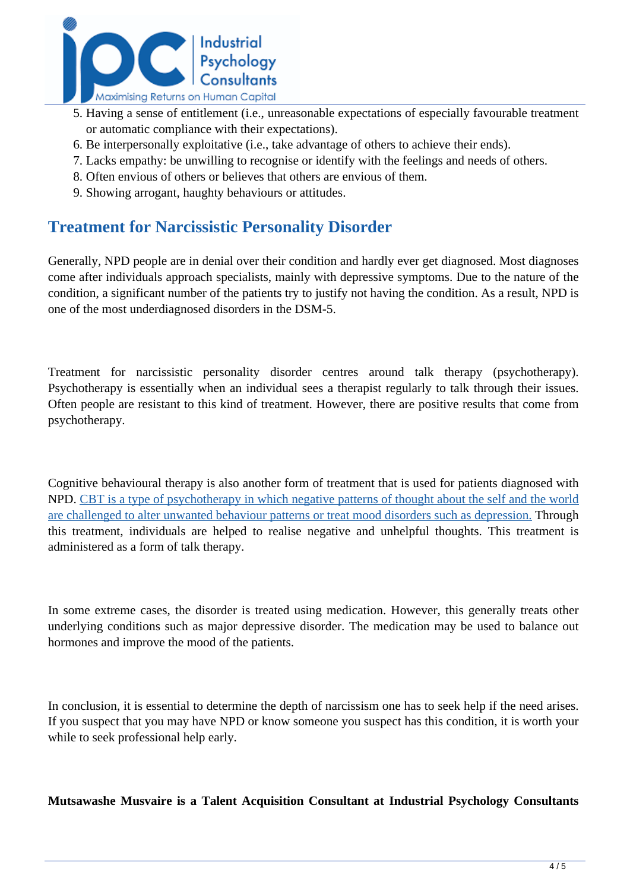

- 5. Having a sense of entitlement (i.e., unreasonable expectations of especially favourable treatment or automatic compliance with their expectations).
- 6. Be interpersonally exploitative (i.e., take advantage of others to achieve their ends).
- 7. Lacks empathy: be unwilling to recognise or identify with the feelings and needs of others.
- 8. Often envious of others or believes that others are envious of them.
- 9. Showing arrogant, haughty behaviours or attitudes.

#### **Treatment for Narcissistic Personality Disorder**

Generally, NPD people are in denial over their condition and hardly ever get diagnosed. Most diagnoses come after individuals approach specialists, mainly with depressive symptoms. Due to the nature of the condition, a significant number of the patients try to justify not having the condition. As a result, NPD is one of the most underdiagnosed disorders in the DSM-5.

Treatment for narcissistic personality disorder centres around talk therapy (psychotherapy). Psychotherapy is essentially when an individual sees a therapist regularly to talk through their issues. Often people are resistant to this kind of treatment. However, there are positive results that come from psychotherapy.

Cognitive behavioural therapy is also another form of treatment that is used for patients diagnosed with NPD. [CBT is a type of psychotherapy in which negative patterns of thought about the self and the world](https://www-taylorfrancis-com.ezproxy.uct.ac.za/chapters/mono/10.4324/9780203961582-9/cognitie-behaior-therapy-personality-disorders-basic-considerations-len-sperry?context=ubx&refId=a4b94cc4-4718-458f-8f2f-91731fe10c77) [are challenged to alter unwanted behaviour patterns or treat mood disorders such as depression.](https://www-taylorfrancis-com.ezproxy.uct.ac.za/chapters/mono/10.4324/9780203961582-9/cognitie-behaior-therapy-personality-disorders-basic-considerations-len-sperry?context=ubx&refId=a4b94cc4-4718-458f-8f2f-91731fe10c77) Through this treatment, individuals are helped to realise negative and unhelpful thoughts. This treatment is administered as a form of talk therapy.

In some extreme cases, the disorder is treated using medication. However, this generally treats other underlying conditions such as major depressive disorder. The medication may be used to balance out hormones and improve the mood of the patients.

In conclusion, it is essential to determine the depth of narcissism one has to seek help if the need arises. If you suspect that you may have NPD or know someone you suspect has this condition, it is worth your while to seek professional help early.

**Mutsawashe Musvaire is a Talent Acquisition Consultant at Industrial Psychology Consultants**